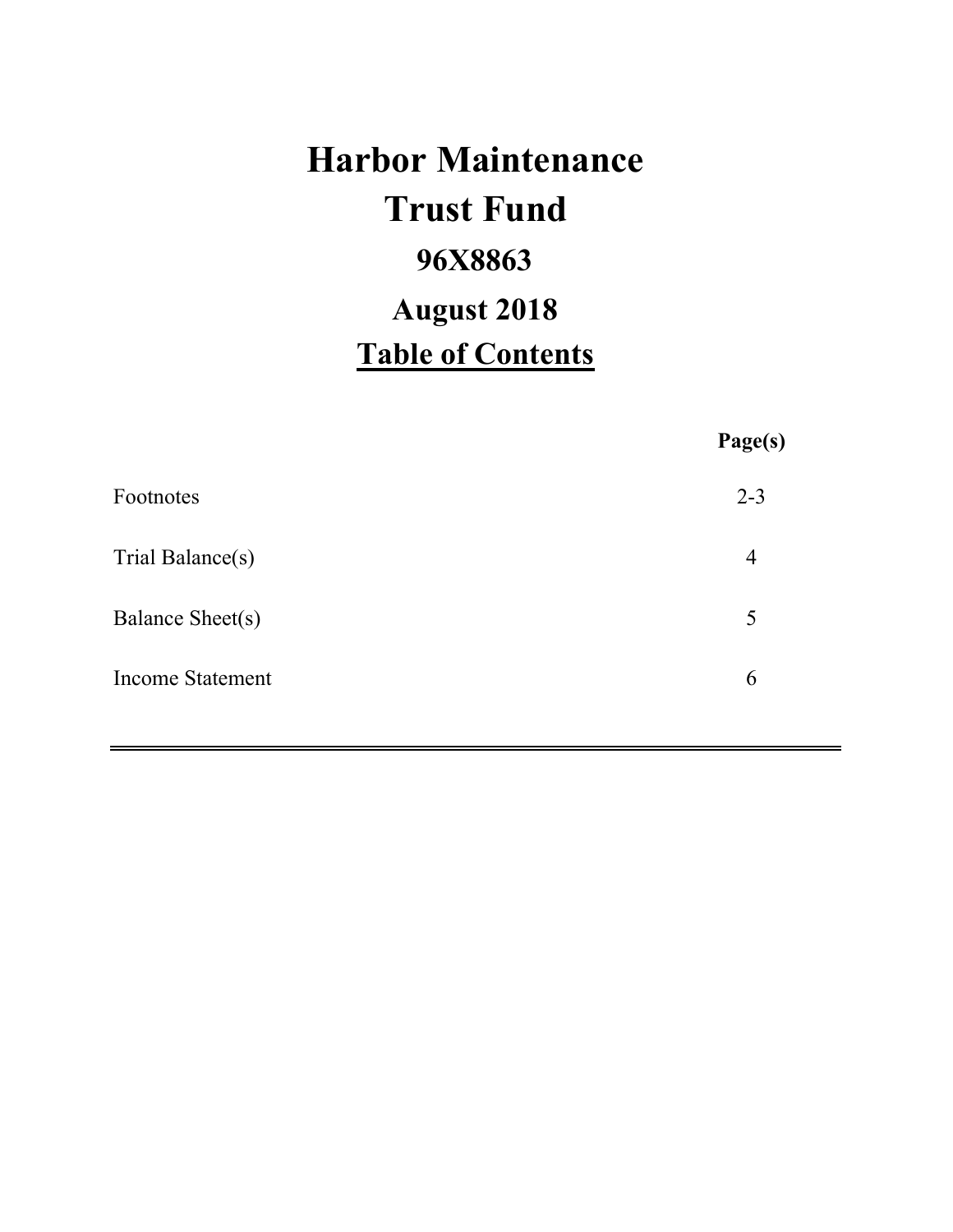# **Harbor Maintenance 96X8863 Table of Contents Trust Fund August 2018**

|                         | Page(s)        |
|-------------------------|----------------|
| Footnotes               | $2 - 3$        |
| Trial Balance(s)        | $\overline{4}$ |
| Balance Sheet(s)        | 5              |
| <b>Income Statement</b> | 6              |
|                         |                |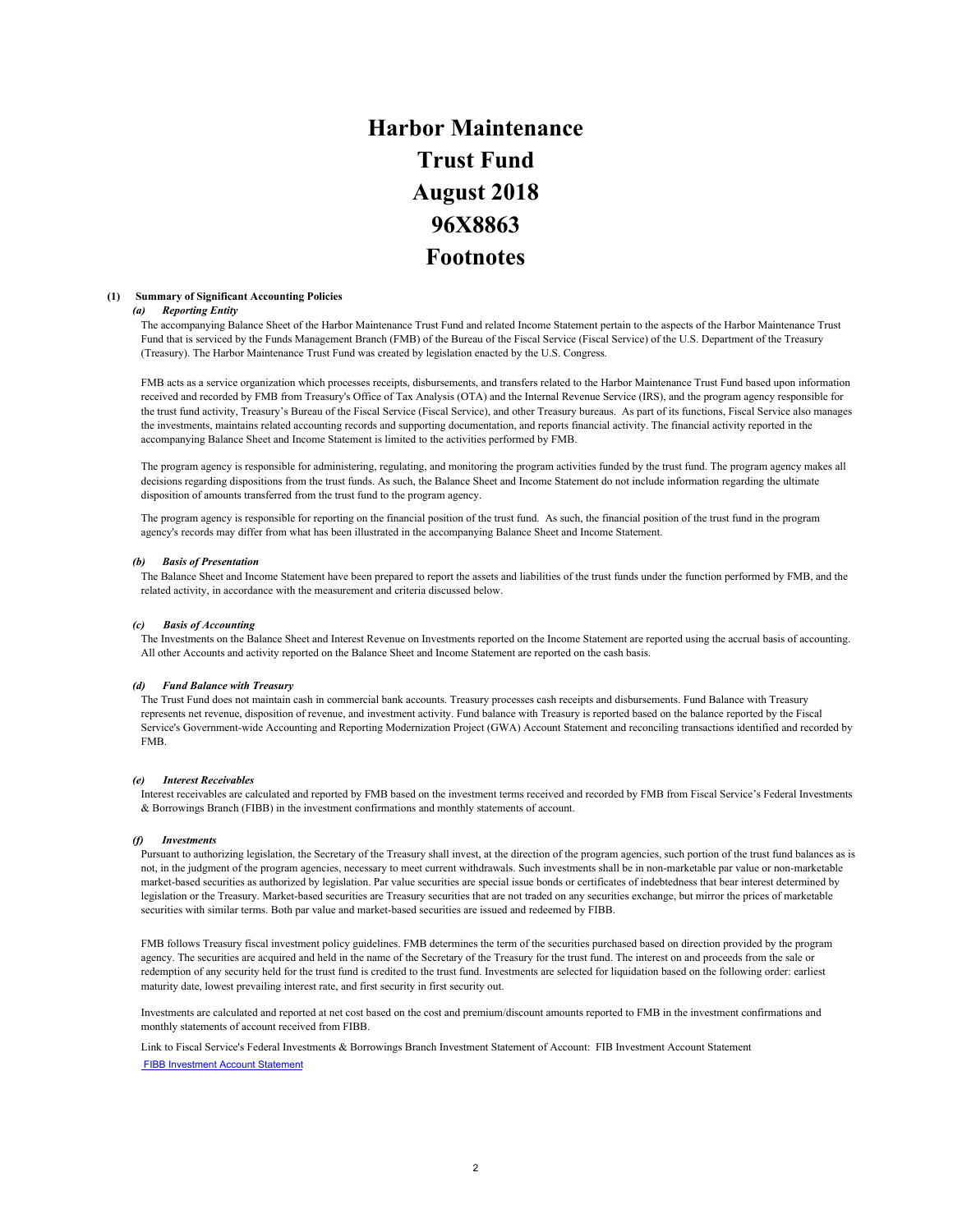# **Harbor Maintenance Trust Fund 96X8863 Footnotes August 2018**

### **(1) Summary of Significant Accounting Policies**

### *(a) Reporting Entity*

The accompanying Balance Sheet of the Harbor Maintenance Trust Fund and related Income Statement pertain to the aspects of the Harbor Maintenance Trust Fund that is serviced by the Funds Management Branch (FMB) of the Bureau of the Fiscal Service (Fiscal Service) of the U.S. Department of the Treasury (Treasury). The Harbor Maintenance Trust Fund was created by legislation enacted by the U.S. Congress.

FMB acts as a service organization which processes receipts, disbursements, and transfers related to the Harbor Maintenance Trust Fund based upon information received and recorded by FMB from Treasury's Office of Tax Analysis (OTA) and the Internal Revenue Service (IRS), and the program agency responsible for the trust fund activity, Treasury's Bureau of the Fiscal Service (Fiscal Service), and other Treasury bureaus. As part of its functions, Fiscal Service also manages the investments, maintains related accounting records and supporting documentation, and reports financial activity. The financial activity reported in the accompanying Balance Sheet and Income Statement is limited to the activities performed by FMB.

The program agency is responsible for administering, regulating, and monitoring the program activities funded by the trust fund. The program agency makes all decisions regarding dispositions from the trust funds. As such, the Balance Sheet and Income Statement do not include information regarding the ultimate disposition of amounts transferred from the trust fund to the program agency.

The program agency is responsible for reporting on the financial position of the trust fund. As such, the financial position of the trust fund in the program agency's records may differ from what has been illustrated in the accompanying Balance Sheet and Income Statement.

### *(b) Basis of Presentation*

The Balance Sheet and Income Statement have been prepared to report the assets and liabilities of the trust funds under the function performed by FMB, and the related activity, in accordance with the measurement and criteria discussed below.

### *(c) Basis of Accounting*

The Investments on the Balance Sheet and Interest Revenue on Investments reported on the Income Statement are reported using the accrual basis of accounting. All other Accounts and activity reported on the Balance Sheet and Income Statement are reported on the cash basis.

### *(d) Fund Balance with Treasury*

The Trust Fund does not maintain cash in commercial bank accounts. Treasury processes cash receipts and disbursements. Fund Balance with Treasury represents net revenue, disposition of revenue, and investment activity. Fund balance with Treasury is reported based on the balance reported by the Fiscal Service's Government-wide Accounting and Reporting Modernization Project (GWA) Account Statement and reconciling transactions identified and recorded by FMB.

### *(e) Interest Receivables*

Interest receivables are calculated and reported by FMB based on the investment terms received and recorded by FMB from Fiscal Service's Federal Investments & Borrowings Branch (FIBB) in the investment confirmations and monthly statements of account.

### *(f) Investments*

Pursuant to authorizing legislation, the Secretary of the Treasury shall invest, at the direction of the program agencies, such portion of the trust fund balances as is not, in the judgment of the program agencies, necessary to meet current withdrawals. Such investments shall be in non-marketable par value or non-marketable market-based securities as authorized by legislation. Par value securities are special issue bonds or certificates of indebtedness that bear interest determined by legislation or the Treasury. Market-based securities are Treasury securities that are not traded on any securities exchange, but mirror the prices of marketable securities with similar terms. Both par value and market-based securities are issued and redeemed by FIBB.

FMB follows Treasury fiscal investment policy guidelines. FMB determines the term of the securities purchased based on direction provided by the program agency. The securities are acquired and held in the name of the Secretary of the Treasury for the trust fund. The interest on and proceeds from the sale or redemption of any security held for the trust fund is credited to the trust fund. Investments are selected for liquidation based on the following order: earliest maturity date, lowest prevailing interest rate, and first security in first security out.

Investments are calculated and reported at net cost based on the cost and premium/discount amounts reported to FMB in the investment confirmations and monthly statements of account received from FIBB.

Link to Fiscal Service's Federal Investments & Borrowings Branch Investment Statement of Account: FIB Investment Account Statement FIBB Investment Account Statement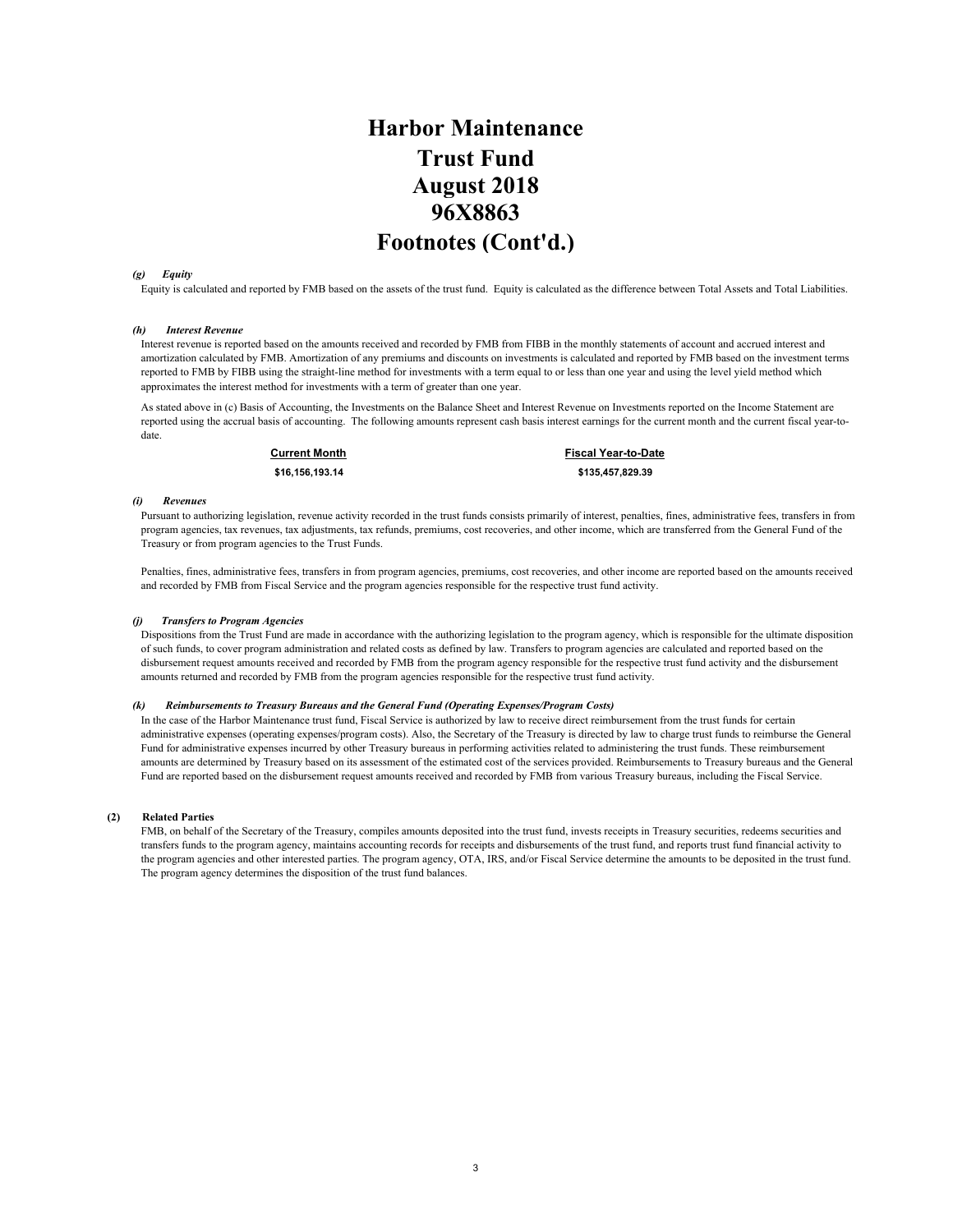## **Harbor Maintenance Trust Fund 96X8863 Footnotes (Cont'd.) August 2018**

### *(g) Equity*

Equity is calculated and reported by FMB based on the assets of the trust fund. Equity is calculated as the difference between Total Assets and Total Liabilities.

### *(h) Interest Revenue*

Interest revenue is reported based on the amounts received and recorded by FMB from FIBB in the monthly statements of account and accrued interest and amortization calculated by FMB. Amortization of any premiums and discounts on investments is calculated and reported by FMB based on the investment terms reported to FMB by FIBB using the straight-line method for investments with a term equal to or less than one year and using the level yield method which approximates the interest method for investments with a term of greater than one year.

As stated above in (c) Basis of Accounting, the Investments on the Balance Sheet and Interest Revenue on Investments reported on the Income Statement are reported using the accrual basis of accounting. The following amounts represent cash basis interest earnings for the current month and the current fiscal year-todate.

**Current Month Fiscal Year-to-Date \$16,156,193.14 \$135,457,829.39** 

### *(i) Revenues*

Pursuant to authorizing legislation, revenue activity recorded in the trust funds consists primarily of interest, penalties, fines, administrative fees, transfers in from program agencies, tax revenues, tax adjustments, tax refunds, premiums, cost recoveries, and other income, which are transferred from the General Fund of the Treasury or from program agencies to the Trust Funds.

Penalties, fines, administrative fees, transfers in from program agencies, premiums, cost recoveries, and other income are reported based on the amounts received and recorded by FMB from Fiscal Service and the program agencies responsible for the respective trust fund activity.

### *(j) Transfers to Program Agencies*

Dispositions from the Trust Fund are made in accordance with the authorizing legislation to the program agency, which is responsible for the ultimate disposition of such funds, to cover program administration and related costs as defined by law. Transfers to program agencies are calculated and reported based on the disbursement request amounts received and recorded by FMB from the program agency responsible for the respective trust fund activity and the disbursement amounts returned and recorded by FMB from the program agencies responsible for the respective trust fund activity.

### *(k) Reimbursements to Treasury Bureaus and the General Fund (Operating Expenses/Program Costs)*

In the case of the Harbor Maintenance trust fund, Fiscal Service is authorized by law to receive direct reimbursement from the trust funds for certain administrative expenses (operating expenses/program costs). Also, the Secretary of the Treasury is directed by law to charge trust funds to reimburse the General Fund for administrative expenses incurred by other Treasury bureaus in performing activities related to administering the trust funds. These reimbursement amounts are determined by Treasury based on its assessment of the estimated cost of the services provided. Reimbursements to Treasury bureaus and the General Fund are reported based on the disbursement request amounts received and recorded by FMB from various Treasury bureaus, including the Fiscal Service.

### **(2) Related Parties**

FMB, on behalf of the Secretary of the Treasury, compiles amounts deposited into the trust fund, invests receipts in Treasury securities, redeems securities and transfers funds to the program agency, maintains accounting records for receipts and disbursements of the trust fund, and reports trust fund financial activity to the program agencies and other interested parties. The program agency, OTA, IRS, and/or Fiscal Service determine the amounts to be deposited in the trust fund. The program agency determines the disposition of the trust fund balances.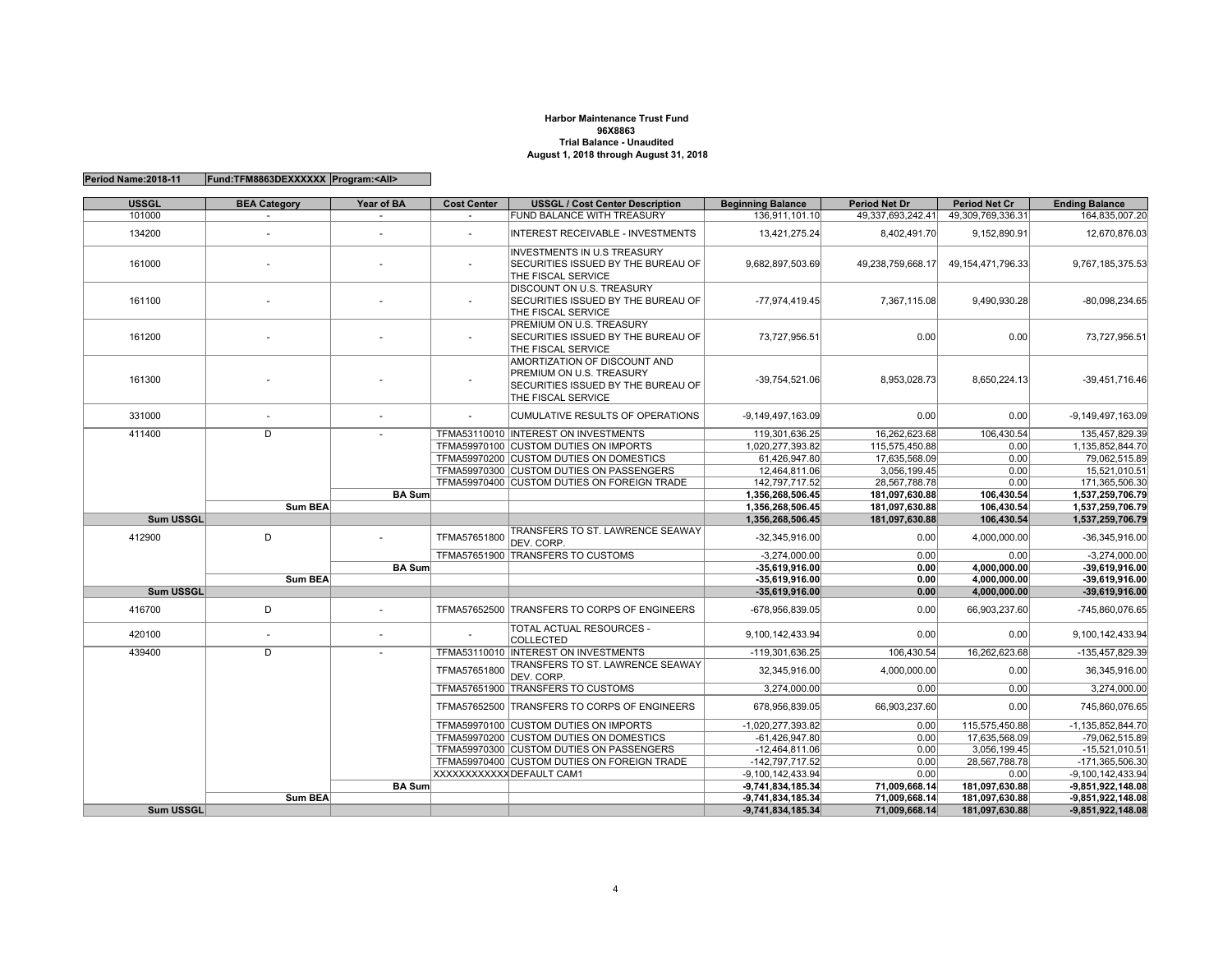### **Harbor Maintenance Trust Fund96X8863 Trial Balance - UnauditedAugust 1, 2018 through August 31, 2018**

| <b>USSGL</b> | <b>BEA Category</b> | Year of BA    | <b>Cost Center</b> | <b>USSGL / Cost Center Description</b>                                                                               | <b>Beginning Balance</b>                   | <b>Period Net Dr</b>           | <b>Period Net Cr</b>             | <b>Ending Balance</b>                                                                                                                                                                                                                                                         |
|--------------|---------------------|---------------|--------------------|----------------------------------------------------------------------------------------------------------------------|--------------------------------------------|--------------------------------|----------------------------------|-------------------------------------------------------------------------------------------------------------------------------------------------------------------------------------------------------------------------------------------------------------------------------|
| 101000       | $\sim$              | $\sim$        | $\sim$             | FUND BALANCE WITH TREASURY                                                                                           | 136.911.101.10                             | 49,337,693,242.41              | 49.309.769.336.31                | 164.835.007.20                                                                                                                                                                                                                                                                |
| 134200       | $\sim$              | $\sim$        | $\sim$             | <b>INTEREST RECEIVABLE - INVESTMENTS</b>                                                                             | 13,421,275.24                              | 8,402,491.70                   | 9,152,890.91                     | 12,670,876.03                                                                                                                                                                                                                                                                 |
| 161000       |                     |               |                    | <b>INVESTMENTS IN U.S TREASURY</b><br>SECURITIES ISSUED BY THE BUREAU OF<br>THE FISCAL SERVICE                       | 9,682,897,503.69                           | 49,238,759,668.17              | 49, 154, 471, 796. 33            | 9,767,185,375.53                                                                                                                                                                                                                                                              |
| 161100       |                     |               |                    | DISCOUNT ON U.S. TREASURY<br>SECURITIES ISSUED BY THE BUREAU OF<br>THE FISCAL SERVICE                                | $-77,974,419.45$                           | 7,367,115.08                   | 9,490,930.28                     | $-80,098,234.65$                                                                                                                                                                                                                                                              |
| 161200       |                     |               |                    | PREMIUM ON U.S. TREASURY<br>SECURITIES ISSUED BY THE BUREAU OF<br>THE FISCAL SERVICE                                 | 73,727,956.51                              | 0.00                           | 0.00                             | 73,727,956.51                                                                                                                                                                                                                                                                 |
| 161300       |                     |               |                    | AMORTIZATION OF DISCOUNT AND<br>PREMIUM ON U.S. TREASURY<br>SECURITIES ISSUED BY THE BUREAU OF<br>THE FISCAL SERVICE | $-39,754,521.06$                           | 8.953.028.73                   | 8.650.224.13                     | $-39,451,716.46$                                                                                                                                                                                                                                                              |
| 331000       |                     | $\sim$        |                    | <b>CUMULATIVE RESULTS OF OPERATIONS</b>                                                                              | $-9,149,497,163.09$                        | 0.00                           | 0.00                             | -9,149,497,163.09                                                                                                                                                                                                                                                             |
| 411400       | D                   |               |                    | TFMA53110010 INTEREST ON INVESTMENTS                                                                                 | 119,301,636.25                             | 16,262,623.68                  | 106.430.54                       | 135,457,829.39                                                                                                                                                                                                                                                                |
|              |                     |               |                    | TFMA59970100 CUSTOM DUTIES ON IMPORTS                                                                                | 1,020,277,393.82                           | 115,575,450.88                 | 0.00                             | 1,135,852,844.70                                                                                                                                                                                                                                                              |
|              |                     |               |                    | TFMA59970200 CUSTOM DUTIES ON DOMESTICS                                                                              | 61.426.947.80                              | 17.635.568.09                  | 0.00                             | 79.062.515.89                                                                                                                                                                                                                                                                 |
|              |                     |               |                    | TFMA59970300 CUSTOM DUTIES ON PASSENGERS                                                                             | 12,464,811.06                              | 3,056,199.45                   | 0.00                             | 15,521,010.51                                                                                                                                                                                                                                                                 |
|              |                     |               |                    | TFMA59970400 CUSTOM DUTIES ON FOREIGN TRADE                                                                          | 142,797,717.52                             | 28,567,788.78                  | 0.00                             | 171,365,506.30                                                                                                                                                                                                                                                                |
|              |                     | <b>BA Sum</b> |                    |                                                                                                                      | 1,356,268,506.45                           | 181,097,630.88                 | 106,430.54                       | 1,537,259,706.79                                                                                                                                                                                                                                                              |
|              | <b>Sum BEA</b>      |               |                    |                                                                                                                      | 1,356,268,506.45                           | 181,097,630.88                 | 106,430.54                       | 1,537,259,706.79                                                                                                                                                                                                                                                              |
| Sum USSGL    |                     |               |                    |                                                                                                                      | 1,356,268,506.45                           | 181,097,630.88                 | 106,430.54                       | 1,537,259,706.79                                                                                                                                                                                                                                                              |
| 412900       | D                   |               | TFMA57651800       | TRANSFERS TO ST. LAWRENCE SEAWAY<br>DEV. CORP.                                                                       | $-32,345,916.00$                           | 0.00                           | 4,000,000.00                     | $-36,345,916.00$                                                                                                                                                                                                                                                              |
|              |                     |               |                    | TFMA57651900 TRANSFERS TO CUSTOMS                                                                                    | $-3,274,000.00$                            | 0.00                           | 0.00                             | $-3,274,000.00$                                                                                                                                                                                                                                                               |
|              |                     | <b>BA Sum</b> |                    |                                                                                                                      |                                            |                                |                                  |                                                                                                                                                                                                                                                                               |
|              |                     |               |                    |                                                                                                                      | $-35,619,916.00$                           | 0.00                           | 4,000,000.00                     | $-39,619,916.00$                                                                                                                                                                                                                                                              |
|              | <b>Sum BEA</b>      |               |                    |                                                                                                                      | $-35,619,916.00$                           | 0.00                           | 4,000,000.00                     |                                                                                                                                                                                                                                                                               |
| Sum USSGL    |                     |               |                    |                                                                                                                      | $-35,619,916.00$                           | 0.00                           | 4,000,000.00                     |                                                                                                                                                                                                                                                                               |
| 416700       | D                   | ÷.            |                    | TFMA57652500 TRANSFERS TO CORPS OF ENGINEERS                                                                         | -678.956.839.05                            | 0.00                           | 66,903,237.60                    |                                                                                                                                                                                                                                                                               |
| 420100       | ×.                  | $\sim$        |                    | TOTAL ACTUAL RESOURCES -<br><b>COLLECTED</b>                                                                         | 9,100,142,433.94                           | 0.00                           | 0.00                             |                                                                                                                                                                                                                                                                               |
| 439400       | $\overline{D}$      |               |                    | TFMA53110010  INTEREST ON INVESTMENTS                                                                                | -119,301,636.25                            | 106,430.54                     | 16,262,623.68                    |                                                                                                                                                                                                                                                                               |
|              |                     |               | TFMA57651800       | TRANSFERS TO ST. LAWRENCE SEAWAY<br>DEV. CORP.                                                                       | 32,345,916.00                              | 4,000,000.00                   | 0.00                             |                                                                                                                                                                                                                                                                               |
|              |                     |               |                    | TFMA57651900 TRANSFERS TO CUSTOMS                                                                                    | 3,274,000.00                               | 0.00                           | 0.00                             |                                                                                                                                                                                                                                                                               |
|              |                     |               |                    | TFMA57652500 TRANSFERS TO CORPS OF ENGINEERS                                                                         | 678,956,839.05                             | 66,903,237.60                  | 0.00                             |                                                                                                                                                                                                                                                                               |
|              |                     |               |                    | TFMA59970100 CUSTOM DUTIES ON IMPORTS                                                                                | $-1,020,277,393.82$                        | 0.00                           | 115,575,450.88                   |                                                                                                                                                                                                                                                                               |
|              |                     |               |                    | TFMA59970200 CUSTOM DUTIES ON DOMESTICS                                                                              | $-61,426,947.80$                           | 0.00                           | 17.635.568.09                    |                                                                                                                                                                                                                                                                               |
|              |                     |               |                    | TFMA59970300 CUSTOM DUTIES ON PASSENGERS                                                                             | $-12,464,811.06$                           | 0.00                           | 3,056,199.45                     |                                                                                                                                                                                                                                                                               |
|              |                     |               |                    | TFMA59970400 CUSTOM DUTIES ON FOREIGN TRADE                                                                          | $-142,797,717.52$                          | 0.00                           | 28.567.788.78                    |                                                                                                                                                                                                                                                                               |
|              |                     |               |                    | XXXXXXXXXXX DEFAULT CAM1                                                                                             | $-9,100,142,433.94$                        | 0.00                           | 0.00                             |                                                                                                                                                                                                                                                                               |
|              |                     | <b>BA Sum</b> |                    |                                                                                                                      | $-9,741,834,185.34$                        | 71,009,668.14                  | 181,097,630.88                   | $-39,619,916.00$<br>$-39,619,916.00$<br>-745.860.076.65<br>9,100,142,433.94<br>-135,457,829.39<br>36,345,916.00<br>3,274,000.00<br>745,860,076.65<br>-1,135,852,844.70<br>-79.062.515.89<br>$-15,521,010.51$<br>-171,365,506.30<br>$-9,100,142,433.94$<br>$-9,851,922,148.08$ |
| Sum USSGL    | <b>Sum BEA</b>      |               |                    |                                                                                                                      | $-9,741,834,185.34$<br>$-9,741,834,185.34$ | 71.009.668.14<br>71,009,668.14 | 181.097.630.88<br>181,097,630.88 | $-9,851,922,148.08$<br>$-9,851,922,148.08$                                                                                                                                                                                                                                    |

### **Period Name:2018-11 Fund:TFM8863DEXXXXXX Program:<All>**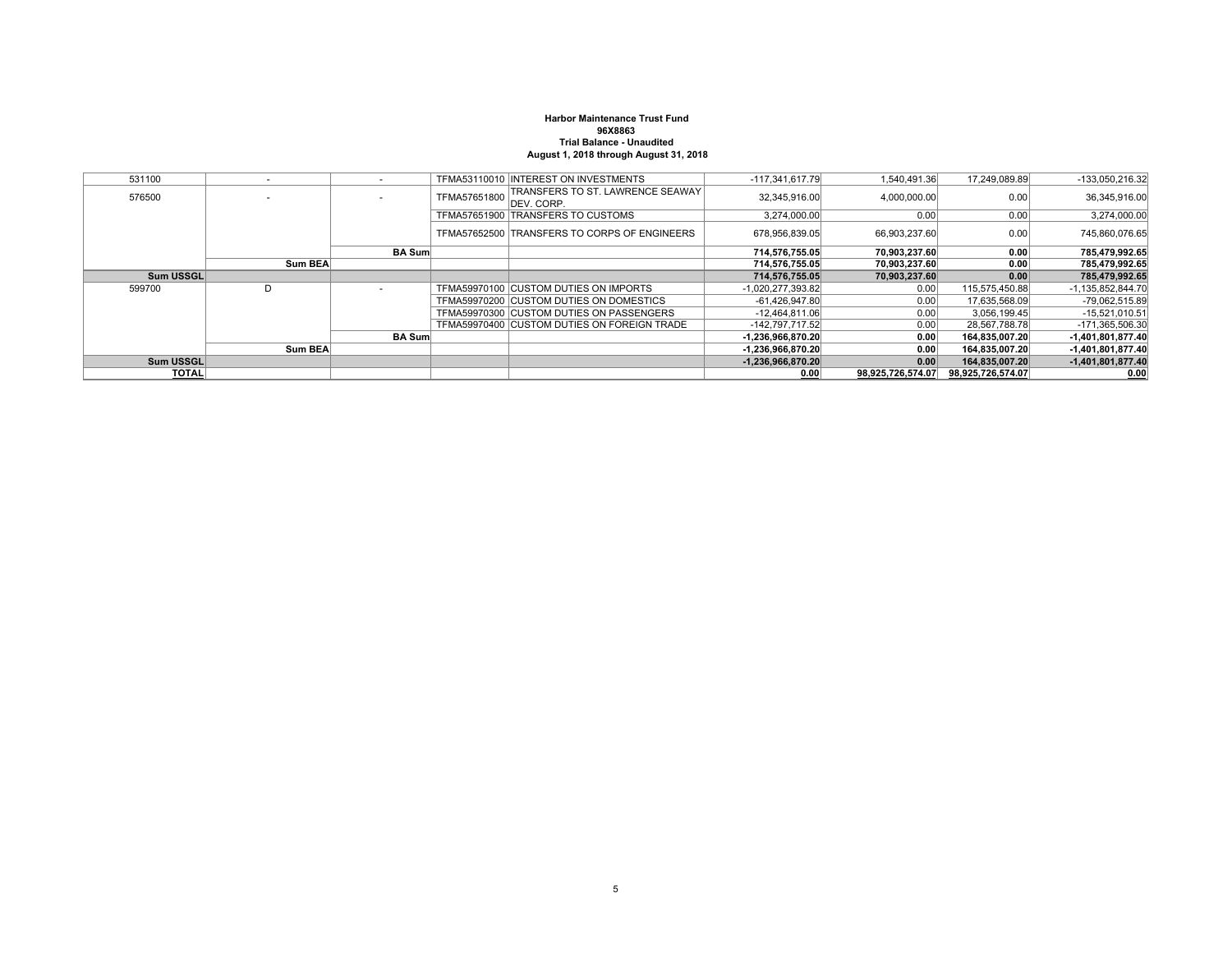### **Harbor Maintenance Trust Fund96X8863 Trial Balance - UnauditedAugust 1, 2018 through August 31, 2018**

| 531100       |                |               |              | TFMA53110010 INTEREST ON INVESTMENTS                           | $-117,341,617.79$   | 1,540,491.36      | 17.249.089.89     | -133,050,216.32   |
|--------------|----------------|---------------|--------------|----------------------------------------------------------------|---------------------|-------------------|-------------------|-------------------|
| 576500       |                |               | TFMA57651800 | <b>ITRANSFERS TO ST. LAWRENCE SEAWAY</b><br><b>IDEV. CORP.</b> | 32,345,916.00       | 4,000,000.00      | 0.00              | 36,345,916.00     |
|              |                |               |              | TFMA57651900 TRANSFERS TO CUSTOMS                              | 3,274,000.00        | 0.00              | 0.00              | 3,274,000.00      |
|              |                |               |              | TFMA57652500 TRANSFERS TO CORPS OF ENGINEERS                   | 678.956.839.05      | 66.903.237.60     | 0.00              | 745,860,076.65    |
|              |                | <b>BA</b> Sum |              |                                                                | 714.576.755.05      | 70.903.237.60     | 0.00              | 785,479,992.65    |
|              | Sum BEA        |               |              |                                                                | 714.576.755.05      | 70.903.237.60     | 0.00              | 785.479.992.65    |
| Sum USSGL    |                |               |              |                                                                | 714,576,755.05      | 70,903,237.60     | 0.00              | 785,479,992.65    |
| 599700       | D              |               |              | TFMA59970100 CUSTOM DUTIES ON IMPORTS                          | -1,020,277,393.82   | 0.00              | 115,575,450.88    | -1,135,852,844.70 |
|              |                |               |              | TFMA59970200 CUSTOM DUTIES ON DOMESTICS                        | $-61,426,947.80$    | 0.001             | 17,635,568.09     | -79,062,515.89    |
|              |                |               |              | TFMA59970300 CUSTOM DUTIES ON PASSENGERS                       | $-12,464,811.06$    | 0.00              | 3,056,199.45      | $-15,521,010.51$  |
|              |                |               |              | TFMA59970400 CUSTOM DUTIES ON FOREIGN TRADE                    | -142.797.717.52     | 0.001             | 28.567.788.78     | -171,365,506.30   |
|              |                | <b>BA Sum</b> |              |                                                                | $-1,236,966,870.20$ | 0.00              | 164.835.007.20    | -1,401,801,877.40 |
|              | <b>Sum BEA</b> |               |              |                                                                | $-1,236,966,870.20$ | 0.00              | 164,835,007.20    | -1,401,801,877.40 |
| Sum USSGL    |                |               |              |                                                                | $-1,236,966,870.20$ | 0.00              | 164,835,007.20    | -1,401,801,877.40 |
| <b>TOTAL</b> |                |               |              |                                                                | 0.00                | 98.925.726.574.07 | 98,925,726,574.07 | 0.00              |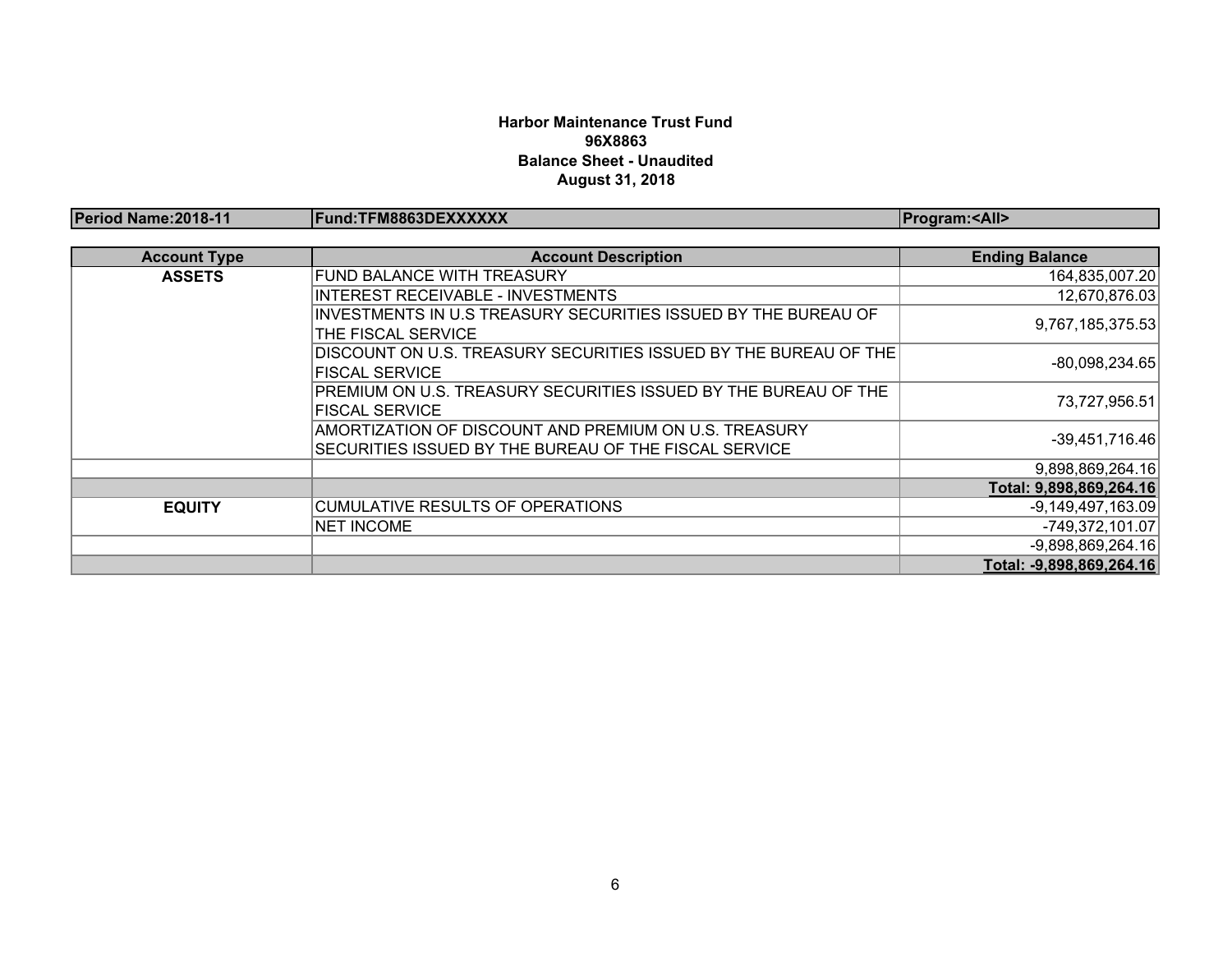### **Harbor Maintenance Trust Fund 96X8863 Balance Sheet - UnauditedAugust 31, 2018**

| Period Name: 2018-11 | Fund:TFM8863DEXXXXXX                                                                                           | <b>Program:<all></all></b> |
|----------------------|----------------------------------------------------------------------------------------------------------------|----------------------------|
|                      |                                                                                                                |                            |
| <b>Account Type</b>  | <b>Account Description</b>                                                                                     | <b>Ending Balance</b>      |
| <b>ASSETS</b>        | FUND BALANCE WITH TREASURY                                                                                     | 164,835,007.20             |
|                      | <b>INTEREST RECEIVABLE - INVESTMENTS</b>                                                                       | 12,670,876.03              |
|                      | INVESTMENTS IN U.S TREASURY SECURITIES ISSUED BY THE BUREAU OF<br>THE FISCAL SERVICE                           | 9,767,185,375.53           |
|                      | DISCOUNT ON U.S. TREASURY SECURITIES ISSUED BY THE BUREAU OF THE<br><b>FISCAL SERVICE</b>                      | $-80,098,234.65$           |
|                      | PREMIUM ON U.S. TREASURY SECURITIES ISSUED BY THE BUREAU OF THE<br><b>FISCAL SERVICE</b>                       | 73,727,956.51              |
|                      | AMORTIZATION OF DISCOUNT AND PREMIUM ON U.S. TREASURY<br>SECURITIES ISSUED BY THE BUREAU OF THE FISCAL SERVICE | $-39,451,716.46$           |
|                      |                                                                                                                | 9,898,869,264.16           |
|                      |                                                                                                                | Total: 9,898,869,264.16    |
| <b>EQUITY</b>        | <b>CUMULATIVE RESULTS OF OPERATIONS</b>                                                                        | $-9,149,497,163.09$        |
|                      | <b>NET INCOME</b>                                                                                              | $-749,372,101.07$          |
|                      |                                                                                                                | $-9,898,869,264.16$        |
|                      |                                                                                                                | Total: -9,898,869,264.16   |